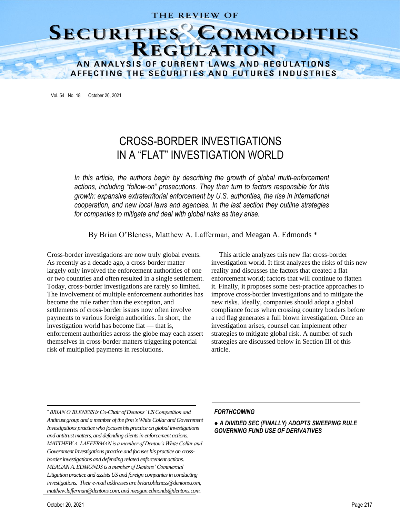# THE REVIEW OF

# SECURITIES COMMODITIES AN ANALYSIS OF CURRENT LAWS AND REGULATIONS

AFFECTING THE SECURITIES AND FUTURES INDUSTRIES

Vol. 54 No. 18 October 20, 2021

# CROSS-BORDER INVESTIGATIONS IN A "FLAT" INVESTIGATION WORLD

*In this article, the authors begin by describing the growth of global multi-enforcement actions, including "follow-on" prosecutions. They then turn to factors responsible for this growth: expansive extraterritorial enforcement by U.S. authorities, the rise in international cooperation, and new local laws and agencies. In the last section they outline strategies for companies to mitigate and deal with global risks as they arise.*

By Brian O'Bleness, Matthew A. Lafferman, and Meagan A. Edmonds \*

Cross-border investigations are now truly global events. As recently as a decade ago, a cross-border matter largely only involved the enforcement authorities of one or two countries and often resulted in a single settlement. Today, cross-border investigations are rarely so limited. The involvement of multiple enforcement authorities has become the rule rather than the exception, and settlements of cross-border issues now often involve payments to various foreign authorities. In short, the investigation world has become flat — that is, enforcement authorities across the globe may each assert themselves in cross-border matters triggering potential risk of multiplied payments in resolutions.

This article analyzes this new flat cross-border investigation world. It first analyzes the risks of this new reality and discusses the factors that created a flat enforcement world; factors that will continue to flatten it. Finally, it proposes some best-practice approaches to improve cross-border investigations and to mitigate the new risks. Ideally, companies should adopt a global compliance focus when crossing country borders before a red flag generates a full blown investigation. Once an investigation arises, counsel can implement other strategies to mitigate global risk. A number of such strategies are discussed below in Section III of this article.

*BRIAN O'BLENESS is Co-Chair of Dentons' US Competition and Antitrust group and a member of the firm's White Collar and Government Investigations practicewho focuses his practice on global investigations and antitrust matters, and defending clients in enforcement actions. MATTHEW A. LAFFERMAN is a member of Denton's White Collar and Government Investigations practice and focuses his practice on crossborder investigations and defending related enforcement actions. MEAGAN A. EDMONDS is a member of Dentons' Commercial Litigation practice and assists US and foreign companies in conducting investigations. Their e-mail addresses are brian.obleness@dentons.com, matthew.lafferman@dentons.com, and meagan.edmonds@dentons.com.*

#### *FORTHCOMING*

*● A DIVIDED SEC (FINALLY) ADOPTS SWEEPING RULE GOVERNING FUND USE OF DERIVATIVES*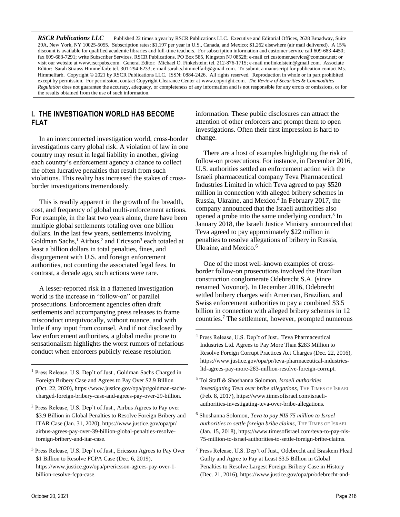*RSCR Publications LLC* Published 22 times a year by RSCR Publications LLC. Executive and Editorial Offices, 2628 Broadway, Suite 29A, New York, NY 10025-5055. Subscription rates: \$1,197 per year in U.S., Canada, and Mexico; \$1,262 elsewhere (air mail delivered). A 15% discount is available for qualified academic libraries and full-time teachers. For subscription information and customer service call 609-683-4450; fax 609-683-7291; write Subscriber Services, RSCR Publications, PO Box 585, Kingston NJ 08528; e-mail [cri.customer.service@comcast.net;](mailto:cri.customer.service@comcast.net) or visit our website a[t www.rscrpubs.com.](http://www.rscrpubs.com/) General Editor: Michael O. Finkelstein; tel. 212-876-1715; e-mail mofinkelstein@gmail.com. Associate Editor: Sarah Strauss Himmelfarb; tel. 301-294-6233; e-mail sarah.s.himmelfarb@gmail.com. To submit a manuscript for publication contact Ms. Himmelfarb. Copyright © 2021 by RSCR Publications LLC. ISSN: 0884-2426. All rights reserved. Reproduction in whole or in part prohibited except by permission. For permission, contact Copyright Clearance Center a[t www.copyright.com.](http://www.copyright.com/) *The Review of Securities & Commodities Regulation* does not guarantee the accuracy, adequacy, or completeness of any information and is not responsible for any errors or omissions, or for the results obtained from the use of such information.

# **I. THE INVESTIGATION WORLD HAS BECOME FLAT**

In an interconnected investigation world, cross-border investigations carry global risk. A violation of law in one country may result in legal liability in another, giving each country's enforcement agency a chance to collect the often lucrative penalties that result from such violations. This reality has increased the stakes of crossborder investigations tremendously.

This is readily apparent in the growth of the breadth, cost, and frequency of global multi-enforcement actions. For example, in the last two years alone, there have been multiple global settlements totaling over one billion dollars. In the last few years, settlements involving Goldman Sachs,<sup>1</sup> Airbus,<sup>2</sup> and Ericsson<sup>3</sup> each totaled at least a billion dollars in total penalties, fines, and disgorgement with U.S. and foreign enforcement authorities, not counting the associated legal fees. In contrast, a decade ago, such actions were rare.

A lesser-reported risk in a flattened investigation world is the increase in "follow-on" or parallel prosecutions. Enforcement agencies often draft settlements and accompanying press releases to frame misconduct unequivocally, without nuance, and with little if any input from counsel. And if not disclosed by law enforcement authorities, a global media prone to sensationalism highlights the worst rumors of nefarious conduct when enforcers publicly release resolution

<sup>1</sup> Press Release, U.S. Dep't of Just., Goldman Sachs Charged in Foreign Bribery Case and Agrees to Pay Over \$2.9 Billion (Oct. 22, 2020), https://www.justice.gov/opa/pr/goldman-sachscharged-foreign-bribery-case-and-agrees-pay-over-29-billion.

 $\frac{1}{\sqrt{2}}$  , and the contract of the contract of the contract of the contract of the contract of the contract of the contract of the contract of the contract of the contract of the contract of the contract of the contra

- <sup>2</sup> Press Release, U.S. Dep't of Just., Airbus Agrees to Pay over \$3.9 Billion in Global Penalties to Resolve Foreign Bribery and ITAR Case (Jan. 31, 2020)[, https://www.justice.gov/opa/pr/](https://www.justice.gov/opa/pr/) airbus-agrees-pay-over-39-billion-global-penalties-resolveforeign-bribery-and-itar-case.
- <sup>3</sup> Press Release, U.S. Dep't of Just., Ericsson Agrees to Pay Over \$1 Billion to Resolve FCPA Case (Dec. 6, 2019), https://www.justice.gov/opa/pr/ericsson-agrees-pay-over-1 billion-resolve-fcpa-case.

information. These public disclosures can attract the attention of other enforcers and prompt them to open investigations. Often their first impression is hard to change.

There are a host of examples highlighting the risk of follow-on prosecutions. For instance, in December 2016, U.S. authorities settled an enforcement action with the Israeli pharmaceutical company Teva Pharmaceutical Industries Limited in which Teva agreed to pay \$520 million in connection with alleged bribery schemes in Russia, Ukraine, and Mexico.<sup>4</sup> In February 2017, the company announced that the Israeli authorities also opened a probe into the same underlying conduct.<sup>5</sup> In January 2018, the Israeli Justice Ministry announced that Teva agreed to pay approximately \$22 million in penalties to resolve allegations of bribery in Russia, Ukraine, and Mexico.<sup>6</sup>

One of the most well-known examples of crossborder follow-on prosecutions involved the Brazilian construction conglomerate Odebrecht S.A. (since renamed Novonor). In December 2016, Odebrecht settled bribery charges with American, Brazilian, and Swiss enforcement authorities to pay a combined \$3.5 billion in connection with alleged bribery schemes in 12 countries.<sup>7</sup> The settlement, however, prompted numerous

<sup>4</sup> Press Release, U.S. Dep't of Just., Teva Pharmaceutical Industries Ltd. Agrees to Pay More Than \$283 Million to Resolve Foreign Corrupt Practices Act Charges (Dec. 22, 2016), https://www.justice.gov/opa/pr/teva-pharmaceutical-industriesltd-agrees-pay-more-283-million-resolve-foreign-corrupt.

- <sup>5</sup> Toi Staff & Shoshanna Solomon, *Israeli authorities investigating Teva over bribe allegations*, THE TIMES OF ISRAEL (Feb. 8, 2017), https://www.timesofisrael.com/israeliauthorities-investigating-teva-over-bribe-allegations.
- <sup>6</sup> Shoshanna Solomon, *Teva to pay NIS 75 million to Israel authorities to settle foreign bribe claims*, THE TIMES OF ISRAEL (Jan. 15, 2018), https://www.timesofisrael.com/teva-to-pay-nis-75-million-to-israel-authorities-to-settle-foreign-bribe-claims.
- <sup>7</sup> Press Release, U.S. Dep't of Just., Odebrecht and Braskem Plead Guilty and Agree to Pay at Least \$3.5 Billion in Global Penalties to Resolve Largest Foreign Bribery Case in History (Dec. 21, 2016)[, https://www.justice.gov/opa/pr/odebrecht-and-](https://www.justice.gov/opa/pr/odebrecht-and-)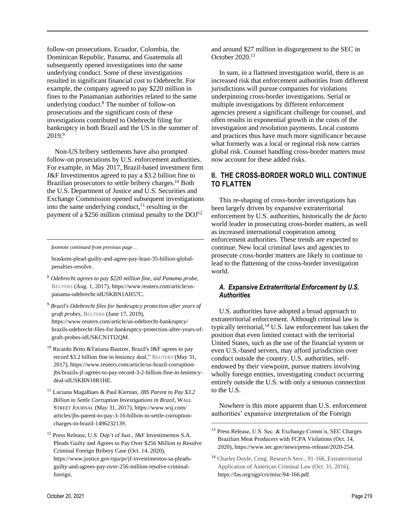follow-on prosecutions. Ecuador, Colombia, the Dominican Republic, Panama, and Guatemala all subsequently opened investigations into the same underlying conduct. Some of these investigations resulted in significant financial cost to Odebrecht. For example, the company agreed to pay \$220 million in fines to the Panamanian authorities related to the same underlying conduct.<sup>8</sup> The number of follow-on prosecutions and the significant costs of these investigations contributed to Odebrecht filing for bankruptcy in both Brazil and the US in the summer of 2019.9

Non-US bribery settlements have also prompted follow-on prosecutions by U.S. enforcement authorities. For example, in May 2017, Brazil-based investment firm J&F Investimentos agreed to pay a \$3.2 billion fine to Brazilian prosecutors to settle bribery charges.<sup>10</sup> Both the U.S. Department of Justice and U.S. Securities and Exchange Commission opened subsequent investigations into the same underlying conduct, $11$  resulting in the payment of a \$256 million criminal penalty to the DOJ<sup>12</sup>

*footnote continued from previous page…*

 braskem-plead-guilty-and-agree-pay-least-35-billion-globalpenalties-resolve.

<sup>8</sup> *Odebrecht agrees to pay \$220 million fine, aid Panama probe*, REUTERS (Aug. 1, 2017), https://www.reuters.com/article/uspanama-odebrecht-idUSKBN1AH57C.

<sup>9</sup> *Brazil's Odebrecht files for bankruptcy protection after years of graft probes,* REUTERS (June 17, 2019), <https://www.reuters.com/article/us-odebrecht-bankruptcy/> brazils-odebrecht-files-for-bankruptcy-protection-after-years-ofgraft-probes-idUSKCN1TI2QM.

- <sup>10</sup> Ricardo Brito & Tatiana Bautzer, Brazil's J&F agrees to pay record \$3.2 billion fine in leniency deal," REUTERS (May 31, 2017), https://www.reuters.com/article/us-brazil-corruptionjbs/brazils-jf-agrees-to-pay-record-3-2-billion-fine-in-leniencydeal-idUSKBN18R1HE.
- <sup>11</sup> Luciana Magalhaes & Paul Kiernan, *JBS Parent to Pay \$3.2 Billion to Settle Corruption Investigations in Brazil*, WALL STREET JOURNAL (May 31, 2017),<https://www.wsj.com/> articles/jbs-parent-to-pay-3-16-billion-to-settle-corruptioncharges-in-brazil-1496232139.
- <sup>12</sup> Press Release, U.S. Dep't of Just., J&F Investimentos S.A. Pleads Guilty and Agrees to Pay Over \$256 Million to Resolve Criminal Foreign Bribery Case (Oct. 14, 2020), https://www.justice.gov/opa/pr/jf-investimentos-sa-pleadsguilty-and-agrees-pay-over-256-million-resolve-criminalforeign.

and around \$27 million in disgorgement to the SEC in October 2020.<sup>13</sup>

In sum, in a flattened investigation world, there is an increased risk that enforcement authorities from different jurisdictions will pursue companies for violations underpinning cross-border investigations. Serial or multiple investigations by different enforcement agencies present a significant challenge for counsel, and often results in exponential growth in the costs of the investigation and resolution payments. Local customs and practices thus have much more significance because what formerly was a local or regional risk now carries global risk. Counsel handling cross-border matters must now account for these added risks.

# **II. THE CROSS-BORDER WORLD WILL CONTINUE TO FLATTEN**

This re-shaping of cross-border investigations has been largely driven by expansive extraterritorial enforcement by U.S. authorities, historically the *de facto* world leader in prosecuting cross-border matters, as well as increased international cooperation among enforcement authorities. These trends are expected to continue. New local criminal laws and agencies to prosecute cross-border matters are likely to continue to lead to the flattening of the cross-border investigation world.

#### *A. Expansive Extraterritorial Enforcement by U.S. Authorities*

U.S. authorities have adopted a broad approach to extraterritorial enforcement. Although criminal law is typically territorial, $14$  U.S. law enforcement has taken the position that even limited contact with the territorial United States, such as the use of the financial system or even U.S.-based servers, may afford jurisdiction over conduct outside the country. U.S. authorities, selfendowed by their viewpoint, pursue matters involving wholly foreign entities, investigating conduct occurring entirely outside the U.S. with only a tenuous connection to the U.S.

Nowhere is this more apparent than U.S. enforcement authorities' expansive interpretation of the Foreign ————————————————————

<sup>13</sup> Press Release, U.S. Sec. & Exchange Comm'n, SEC Charges Brazilian Meat Producers with FCPA Violations (Oct. 14, 2020), https://www.sec.gov/news/press-release/2020-254.

<sup>14</sup> Charles Doyle, Cong. Research Serv., 91-166, Extraterritorial Application of American Criminal Law (Oct. 31, 2016), https://fas.org/sgp/crs/misc/94-166.pdf.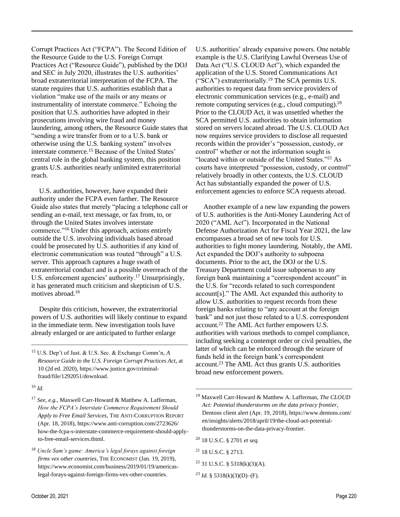Corrupt Practices Act ("FCPA"). The Second Edition of the Resource Guide to the U.S. Foreign Corrupt Practices Act ("Resource Guide"), published by the DOJ and SEC in July 2020, illustrates the U.S. authorities' broad extraterritorial interpretation of the FCPA. The statute requires that U.S. authorities establish that a violation "make use of the mails or any means or instrumentality of interstate commerce." Echoing the position that U.S. authorities have adopted in their prosecutions involving wire fraud and money laundering, among others, the Resource Guide states that "sending a wire transfer from or to a U.S. bank or otherwise using the U.S. banking system" involves interstate commerce.<sup>15</sup> Because of the United States' central role in the global banking system, this position grants U.S. authorities nearly unlimited extraterritorial reach.

U.S. authorities, however, have expanded their authority under the FCPA even farther. The Resource Guide also states that merely "placing a telephone call or sending an e-mail, text message, or fax from, to, or through the United States involves interstate commerce."<sup>16</sup> Under this approach, actions entirely outside the U.S. involving individuals based abroad could be prosecuted by U.S. authorities if any kind of electronic communication was routed "through" a U.S. server. This approach captures a huge swath of extraterritorial conduct and is a possible overreach of the U.S. enforcement agencies' authority.<sup>17</sup> Unsurprisingly, it has generated much criticism and skepticism of U.S. motives abroad.<sup>18</sup>

Despite this criticism, however, the extraterritorial powers of U.S. authorities will likely continue to expand in the immediate term. New investigation tools have already enlarged or are anticipated to further enlarge

 $\frac{1}{\sqrt{2}}$  , and the contract of the contract of the contract of the contract of the contract of the contract of the contract of the contract of the contract of the contract of the contract of the contract of the contra

<sup>15</sup> U.S. Dep't of Just. & U.S. Sec. & Exchange Comm'n, *A Resource Guide to the U.S. Foreign Corrupt Practices Act*, at 10 (2d ed. 2020), https://www.justice.gov/criminalfraud/file/1292051/download.

<sup>16</sup> *Id.*

<sup>17</sup> *See*, *e.g.*, Maxwell Carr-Howard & Matthew A. Lafferman, *How the FCPA's Interstate Commerce Requirement Should Apply to Free Email Services*, THE ANTI-CORRUPTION REPORT (Apr. 18, 2018)[, https://www.anti-corruption.com/2723626/](https://www.anti-corruption.com/2723626/) how-the-fcpa-s-interstate-commerce-requirement-should-applyto-free-email-services.thtml.

<sup>18</sup> *Uncle Sam's game: America's legal forays against foreign firms vex other countries*, THE ECONOMIST (Jan. 19, 2019), https://www.economist.com/business/2019/01/19/americaslegal-forays-against-foreign-firms-vex-other-countries.

U.S. authorities' already expansive powers. One notable example is the U.S. Clarifying Lawful Overseas Use of Data Act ("U.S. CLOUD Act"), which expanded the application of the U.S. Stored Communications Act ("SCA") extraterritorially.<sup>19</sup> The SCA permits U.S. authorities to request data from service providers of electronic communication services (e.g., e-mail) and remote computing services (e.g., cloud computing). $^{20}$ Prior to the CLOUD Act, it was unsettled whether the SCA permitted U.S. authorities to obtain information stored on servers located abroad. The U.S. CLOUD Act now requires service providers to disclose all requested records within the provider's "possession, custody, or control" whether or not the information sought is "located within or outside of the United States."<sup>21</sup> As courts have interpreted "possession, custody, or control" relatively broadly in other contexts, the U.S. CLOUD Act has substantially expanded the power of U.S. enforcement agencies to enforce SCA requests abroad.

Another example of a new law expanding the powers of U.S. authorities is the Anti-Money Laundering Act of 2020 ("AML Act"). Incorporated in the National Defense Authorization Act for Fiscal Year 2021, the law encompasses a broad set of new tools for U.S. authorities to fight money laundering. Notably, the AML Act expanded the DOJ's authority to subpoena documents. Prior to the act, the DOJ or the U.S. Treasury Department could issue subpoenas to any foreign bank maintaining a "correspondent account" in the U.S. for "records related to such correspondent account[s]." The AML Act expanded this authority to allow U.S. authorities to request records from these foreign banks relating to "any account at the foreign bank" and not just those related to a U.S. correspondent account.<sup>22</sup> The AML Act further empowers U.S. authorities with various methods to compel compliance, including seeking a contempt order or civil penalties, the latter of which can be enforced through the seizure of funds held in the foreign bank's correspondent account.<sup>23</sup> The AML Act thus grants U.S. authorities broad new enforcement powers.

- <sup>20</sup> 18 U.S.C. § 2701 *et seq.*
- <sup>21</sup> 18 U.S.C. § 2713.
- $22$  31 U.S.C. § 5318(k)(3)(A).
- <sup>23</sup> *Id.* § 5318(k)(3)(D)–(F).

<sup>19</sup> Maxwell Carr-Howard & Matthew A. Lafferman, *The CLOUD Act: Potential thunderstorms on the data privacy frontier*, Dentons client alert (Apr. 19, 2018)[, https://www.dentons.com/](https://www.dentons.com/%20en/insights/alerts/2018/april/19/the-cloud-act-potential-thunderstorms-on-the-data-privacy-frontier) [en/insights/alerts/2018/april/19/the-cloud-act-potential](https://www.dentons.com/%20en/insights/alerts/2018/april/19/the-cloud-act-potential-thunderstorms-on-the-data-privacy-frontier)[thunderstorms-on-the-data-privacy-frontier.](https://www.dentons.com/%20en/insights/alerts/2018/april/19/the-cloud-act-potential-thunderstorms-on-the-data-privacy-frontier)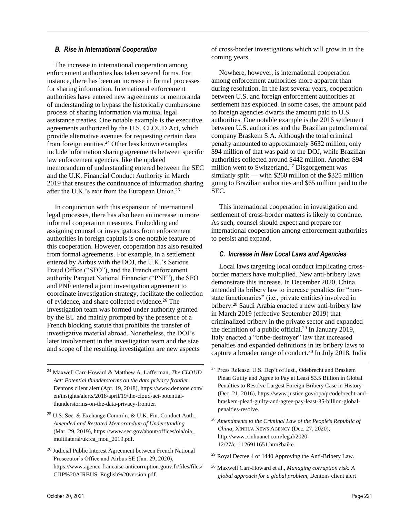#### *B. Rise in International Cooperation*

The increase in international cooperation among enforcement authorities has taken several forms. For instance, there has been an increase in formal processes for sharing information. International enforcement authorities have entered new agreements or memoranda of understanding to bypass the historically cumbersome process of sharing information via mutual legal assistance treaties. One notable example is the executive agreements authorized by the U.S. CLOUD Act, which provide alternative avenues for requesting certain data from foreign entities.<sup>24</sup> Other less known examples include information sharing agreements between specific law enforcement agencies, like the updated memorandum of understanding entered between the SEC and the U.K. Financial Conduct Authority in March 2019 that ensures the continuance of information sharing after the U.K.'s exit from the European Union.<sup>25</sup>

In conjunction with this expansion of international legal processes, there has also been an increase in more informal cooperation measures. Embedding and assigning counsel or investigators from enforcement authorities in foreign capitals is one notable feature of this cooperation. However, cooperation has also resulted from formal agreements. For example, in a settlement entered by Airbus with the DOJ, the U.K.'s Serious Fraud Office ("SFO"), and the French enforcement authority Parquet National Financier ("PNF"), the SFO and PNF entered a joint investigation agreement to coordinate investigation strategy, facilitate the collection of evidence, and share collected evidence.<sup>26</sup> The investigation team was formed under authority granted by the EU and mainly prompted by the presence of a French blocking statute that prohibits the transfer of investigative material abroad. Nonetheless, the DOJ's later involvement in the investigation team and the size and scope of the resulting investigation are new aspects

<sup>24</sup> Maxwell Carr-Howard & Matthew A. Lafferman, *The CLOUD Act: Potential thunderstorms on the data privacy frontier*, Dentons client alert (Apr. 19, 2018), [https://www.dentons.com/](https://www.dentons.com/%20en/insights/alerts/2018/april/19/the-cloud-act-potential-thunderstorms-on-the-data-privacy-frontier) [en/insights/alerts/2018/april/19/the-cloud-act-potential](https://www.dentons.com/%20en/insights/alerts/2018/april/19/the-cloud-act-potential-thunderstorms-on-the-data-privacy-frontier)[thunderstorms-on-the-data-privacy-frontier.](https://www.dentons.com/%20en/insights/alerts/2018/april/19/the-cloud-act-potential-thunderstorms-on-the-data-privacy-frontier)

 $\frac{1}{\sqrt{2}}$  , and the contract of the contract of the contract of the contract of the contract of the contract of the contract of the contract of the contract of the contract of the contract of the contract of the contra

- <sup>25</sup> U.S. Sec. & Exchange Comm'n, & U.K. Fin. Conduct Auth., *Amended and Restated Memorandum of Understanding* (Mar. 29, 2019)[, https://www.sec.gov/about/offices/oia/oia\\_](https://www.sec.gov/about/offices/oia/oia_%20multilateral/ukfca_mou_2019.pdf) [multilateral/ukfca\\_mou\\_2019.pdf.](https://www.sec.gov/about/offices/oia/oia_%20multilateral/ukfca_mou_2019.pdf)
- <sup>26</sup> Judicial Public Interest Agreement between French National Prosecutor's Office and Airbus SE (Jan. 29, 2020), <https://www.agence-francaise-anticorruption.gouv.fr/files/files/> CJIP%20AIRBUS\_English%20version.pdf.

of cross-border investigations which will grow in in the coming years.

Nowhere, however, is international cooperation among enforcement authorities more apparent than during resolution. In the last several years, cooperation between U.S. and foreign enforcement authorities at settlement has exploded. In some cases, the amount paid to foreign agencies dwarfs the amount paid to U.S. authorities. One notable example is the 2016 settlement between U.S. authorities and the Brazilian petrochemical company Braskem S.A. Although the total criminal penalty amounted to approximately \$632 million, only \$94 million of that was paid to the DOJ, while Brazilian authorities collected around \$442 million. Another \$94 million went to Switzerland.<sup>27</sup> Disgorgement was similarly split — with \$260 million of the \$325 million going to Brazilian authorities and \$65 million paid to the SEC.

This international cooperation in investigation and settlement of cross-border matters is likely to continue. As such, counsel should expect and prepare for international cooperation among enforcement authorities to persist and expand.

#### *C. Increase in New Local Laws and Agencies*

Local laws targeting local conduct implicating crossborder matters have multiplied. New anti-bribery laws demonstrate this increase. In December 2020, China amended its bribery law to increase penalties for "nonstate functionaries" (i.e., private entities) involved in bribery.<sup>28</sup> Saudi Arabia enacted a new anti-bribery law in March 2019 (effective September 2019) that criminalized bribery in the private sector and expanded the definition of a public official.<sup>29</sup> In January 2019, Italy enacted a "bribe-destroyer" law that increased penalties and expanded definitions in its bribery laws to capture a broader range of conduct.<sup>30</sup> In July 2018, India

- <sup>28</sup> *Amendments to the Criminal Law of the People's Republic of China*, XINHUA NEWS AGENCY (Dec. 27, 2020), http://www.xinhuanet.com/legal/2020- 12/27/c\_1126911651.htm?baike.
- <sup>29</sup> Royal Decree 4 of 1440 Approving the Anti-Bribery Law.
- <sup>30</sup> Maxwell Carr-Howard et al., *Managing corruption risk: A global approach for a global problem*, Dentons client alert

<sup>27</sup> Press Release, U.S. Dep't of Just., Odebrecht and Braskem Plead Guilty and Agree to Pay at Least \$3.5 Billion in Global Penalties to Resolve Largest Foreign Bribery Case in History (Dec. 21, 2016), https://www.justice.gov/opa/pr/odebrecht-andbraskem-plead-guilty-and-agree-pay-least-35-billion-globalpenalties-resolve.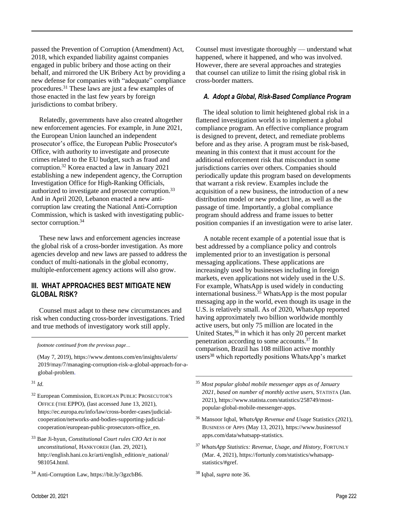passed the Prevention of Corruption (Amendment) Act, 2018, which expanded liability against companies engaged in public bribery and those acting on their behalf, and mirrored the UK Bribery Act by providing a new defense for companies with "adequate" compliance procedures.<sup>31</sup> These laws are just a few examples of those enacted in the last few years by foreign jurisdictions to combat bribery.

Relatedly, governments have also created altogether new enforcement agencies. For example, in June 2021, the European Union launched an independent prosecutor's office, the European Public Prosecutor's Office, with authority to investigate and prosecute crimes related to the EU budget, such as fraud and corruption.<sup>32</sup> Korea enacted a law in January 2021 establishing a new independent agency, the Corruption Investigation Office for High-Ranking Officials, authorized to investigate and prosecute corruption.<sup>33</sup> And in April 2020, Lebanon enacted a new anticorruption law creating the National Anti-Corruption Commission, which is tasked with investigating publicsector corruption.<sup>34</sup>

These new laws and enforcement agencies increase the global risk of a cross-border investigation. As more agencies develop and new laws are passed to address the conduct of multi-nationals in the global economy, multiple-enforcement agency actions will also grow.

#### **III. WHAT APPROACHES BEST MITIGATE NEW GLOBAL RISK?**

Counsel must adapt to these new circumstances and risk when conducting cross-border investigations. Tried and true methods of investigatory work still apply.

*footnote continued from the previous page…*

 (May 7, 2019)[, https://www.dentons.com/en/insights/alerts/](https://www.dentons.com/en/insights/alerts/) 2019/may/7/managing-corruption-risk-a-global-approach-for-aglobal-problem.

# <sup>31</sup> *Id.*

- <sup>33</sup> Bae Ji-hyun, *Constitutional Court rules CIO Act is not unconstitutional*, HANKYOREH (Jan. 29, 2021), http://english.hani.co.kr/arti/english\_edition/e\_national/ 981054.html.
- <sup>34</sup> Anti-Corruption Law, https://bit.ly/3gzcbB6.

Counsel must investigate thoroughly — understand what happened, where it happened, and who was involved. However, there are several approaches and strategies that counsel can utilize to limit the rising global risk in cross-border matters.

#### *A. Adopt a Global, Risk-Based Compliance Program*

The ideal solution to limit heightened global risk in a flattened investigation world is to implement a global compliance program. An effective compliance program is designed to prevent, detect, and remediate problems before and as they arise. A program must be risk-based, meaning in this context that it must account for the additional enforcement risk that misconduct in some jurisdictions carries over others. Companies should periodically update this program based on developments that warrant a risk review. Examples include the acquisition of a new business, the introduction of a new distribution model or new product line, as well as the passage of time. Importantly, a global compliance program should address and frame issues to better position companies if an investigation were to arise later.

A notable recent example of a potential issue that is best addressed by a compliance policy and controls implemented prior to an investigation is personal messaging applications. These applications are increasingly used by businesses including in foreign markets, even applications not widely used in the U.S. For example, WhatsApp is used widely in conducting international business.<sup>35</sup> WhatsApp is the most popular messaging app in the world, even though its usage in the U.S. is relatively small. As of 2020, WhatsApp reported having approximately two billion worldwide monthly active users, but only 75 million are located in the United States,<sup>36</sup> in which it has only 20 percent market penetration according to some accounts.<sup>37</sup> In comparison, Brazil has 108 million active monthly users<sup>38</sup> which reportedly positions WhatsApp's market

- <sup>36</sup> Mansoor Iqbal, *WhatsApp Revenue and Usage* Statistics (2021), BUSINESS OF APPS (May 13, 2021)[, https://www.businessof](https://www.businessof/) apps.com/data/whatsapp-statistics.
- <sup>37</sup> *WhatsApp Statistics: Revenue, Usage, and History,* FORTUNLY (Mar. 4, 2021), https://fortunly.com/statistics/whatsappstatistics/#gref.
- <sup>38</sup> Iqbal, *supra* note 36.

<sup>32</sup> European Commission, EUROPEAN PUBLIC PROSECUTOR'<sup>S</sup> OFFICE (THE EPPO), (last accessed June 13, 2021), https://ec.europa.eu/info/law/cross-border-cases/judicialcooperation/networks-and-bodies-supporting-judicialcooperation/european-public-prosecutors-office\_en.

<sup>35</sup> *Most popular global mobile messenger apps as of January 2021, based on number of monthly active users,* STATISTA (Jan. 2021), https://www.statista.com/statistics/258749/mostpopular-global-mobile-messenger-apps.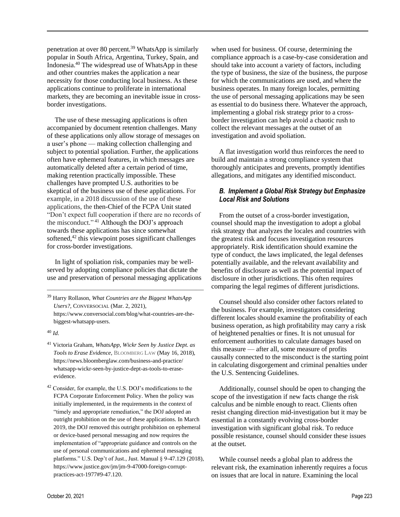penetration at over 80 percent.<sup>39</sup> WhatsApp is similarly popular in South Africa, Argentina, Turkey, Spain, and Indonesia.<sup>40</sup> The widespread use of WhatsApp in these and other countries makes the application a near necessity for those conducting local business. As these applications continue to proliferate in international markets, they are becoming an inevitable issue in crossborder investigations.

The use of these messaging applications is often accompanied by document retention challenges. Many of these applications only allow storage of messages on a user's phone — making collection challenging and subject to potential spoliation. Further, the applications often have ephemeral features, in which messages are automatically deleted after a certain period of time, making retention practically impossible. These challenges have prompted U.S. authorities to be skeptical of the business use of these applications. For example, in a 2018 discussion of the use of these applications, the then-Chief of the FCPA Unit stated "Don't expect full cooperation if there are no records of the misconduct." <sup>41</sup> Although the DOJ's approach towards these applications has since somewhat softened,<sup>42</sup> this viewpoint poses significant challenges for cross-border investigations.

In light of spoliation risk, companies may be wellserved by adopting compliance policies that dictate the use and preservation of personal messaging applications

 $\frac{1}{\sqrt{2}}$  , and the contract of the contract of the contract of the contract of the contract of the contract of the contract of the contract of the contract of the contract of the contract of the contract of the contra

<sup>39</sup> Harry Rollason, *What Countries are the Biggest WhatsApp Users?*, CONVERSOCIAL (Mar. 2, 2021), https://www.conversocial.com/blog/what-countries-are-thebiggest-whatsapp-users.

- <sup>41</sup> Victoria Graham, *WhatsApp, Wickr Seen by Justice Dept. as Tools to Erase Evidence*, BLOOMBERG LAW (May 16, 2018), [https://news.bloomberglaw.com/business-and-practice/](https://news.bloomberglaw.com/business-and-practice/%20whatsapp-wickr-seen-by-justice-dept-as-tools-to-erase-evidence) [whatsapp-wickr-seen-by-justice-dept-as-tools-to-erase](https://news.bloomberglaw.com/business-and-practice/%20whatsapp-wickr-seen-by-justice-dept-as-tools-to-erase-evidence)[evidence.](https://news.bloomberglaw.com/business-and-practice/%20whatsapp-wickr-seen-by-justice-dept-as-tools-to-erase-evidence)
- <sup>42</sup> Consider, for example, the U.S. DOJ's modifications to the FCPA Corporate Enforcement Policy. When the policy was initially implemented, in the requirements in the context of "timely and appropriate remediation," the DOJ adopted an outright prohibition on the use of these applications. In March 2019, the DOJ removed this outright prohibition on ephemeral or device-based personal messaging and now requires the implementation of "appropriate guidance and controls on the use of personal communications and ephemeral messaging platforms." U.S. Dep't of Just., Just. Manual § 9-47.129 (2018), https://www.justice.gov/jm/jm-9-47000-foreign-corruptpractices-act-1977#9-47.120.

when used for business. Of course, determining the compliance approach is a case-by-case consideration and should take into account a variety of factors, including the type of business, the size of the business, the purpose for which the communications are used, and where the business operates. In many foreign locales, permitting the use of personal messaging applications may be seen as essential to do business there. Whatever the approach, implementing a global risk strategy prior to a crossborder investigation can help avoid a chaotic rush to collect the relevant messages at the outset of an investigation and avoid spoliation.

A flat investigation world thus reinforces the need to build and maintain a strong compliance system that thoroughly anticipates and prevents, promptly identifies allegations, and mitigates any identified misconduct.

#### *B. Implement a Global Risk Strategy but Emphasize Local Risk and Solutions*

From the outset of a cross-border investigation, counsel should map the investigation to adopt a global risk strategy that analyzes the locales and countries with the greatest risk and focuses investigation resources appropriately. Risk identification should examine the type of conduct, the laws implicated, the legal defenses potentially available, and the relevant availability and benefits of disclosure as well as the potential impact of disclosure in other jurisdictions. This often requires comparing the legal regimes of different jurisdictions.

Counsel should also consider other factors related to the business. For example, investigators considering different locales should examine the profitability of each business operation, as high profitability may carry a risk of heightened penalties or fines. It is not unusual for enforcement authorities to calculate damages based on this measure — after all, some measure of profits causally connected to the misconduct is the starting point in calculating disgorgement and criminal penalties under the U.S. Sentencing Guidelines.

Additionally, counsel should be open to changing the scope of the investigation if new facts change the risk calculus and be nimble enough to react. Clients often resist changing direction mid-investigation but it may be essential in a constantly evolving cross-border investigation with significant global risk. To reduce possible resistance, counsel should consider these issues at the outset.

While counsel needs a global plan to address the relevant risk, the examination inherently requires a focus on issues that are local in nature. Examining the local

<sup>40</sup> *Id.*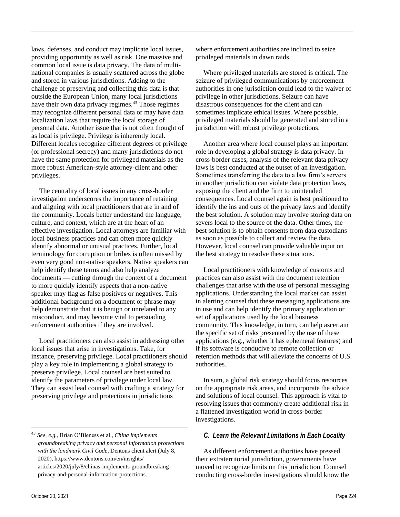laws, defenses, and conduct may implicate local issues, providing opportunity as well as risk. One massive and common local issue is data privacy. The data of multinational companies is usually scattered across the globe and stored in various jurisdictions. Adding to the challenge of preserving and collecting this data is that outside the European Union, many local jurisdictions have their own data privacy regimes.<sup>43</sup> Those regimes may recognize different personal data or may have data localization laws that require the local storage of personal data. Another issue that is not often thought of as local is privilege. Privilege is inherently local. Different locales recognize different degrees of privilege (or professional secrecy) and many jurisdictions do not have the same protection for privileged materials as the more robust American-style attorney-client and other privileges.

The centrality of local issues in any cross-border investigation underscores the importance of retaining and aligning with local practitioners that are in and of the community. Locals better understand the language, culture, and context, which are at the heart of an effective investigation. Local attorneys are familiar with local business practices and can often more quickly identify abnormal or unusual practices. Further, local terminology for corruption or bribes is often missed by even very good non-native speakers. Native speakers can help identify these terms and also help analyze documents — cutting through the context of a document to more quickly identify aspects that a non-native speaker may flag as false positives or negatives. This additional background on a document or phrase may help demonstrate that it is benign or unrelated to any misconduct, and may become vital to persuading enforcement authorities if they are involved.

Local practitioners can also assist in addressing other local issues that arise in investigations. Take, for instance, preserving privilege. Local practitioners should play a key role in implementing a global strategy to preserve privilege. Local counsel are best suited to identify the parameters of privilege under local law. They can assist lead counsel with crafting a strategy for preserving privilege and protections in jurisdictions

 $\frac{1}{\sqrt{2}}$  , and the contract of the contract of the contract of the contract of the contract of the contract of the contract of the contract of the contract of the contract of the contract of the contract of the contra

where enforcement authorities are inclined to seize privileged materials in dawn raids.

Where privileged materials are stored is critical. The seizure of privileged communications by enforcement authorities in one jurisdiction could lead to the waiver of privilege in other jurisdictions. Seizure can have disastrous consequences for the client and can sometimes implicate ethical issues. Where possible, privileged materials should be generated and stored in a jurisdiction with robust privilege protections.

Another area where local counsel plays an important role in developing a global strategy is data privacy. In cross-border cases, analysis of the relevant data privacy laws is best conducted at the outset of an investigation. Sometimes transferring the data to a law firm's servers in another jurisdiction can violate data protection laws, exposing the client and the firm to unintended consequences. Local counsel again is best positioned to identify the ins and outs of the privacy laws and identify the best solution. A solution may involve storing data on severs local to the source of the data. Other times, the best solution is to obtain consents from data custodians as soon as possible to collect and review the data. However, local counsel can provide valuable input on the best strategy to resolve these situations.

Local practitioners with knowledge of customs and practices can also assist with the document retention challenges that arise with the use of personal messaging applications. Understanding the local market can assist in alerting counsel that these messaging applications are in use and can help identify the primary application or set of applications used by the local business community. This knowledge, in turn, can help ascertain the specific set of risks presented by the use of these applications (e.g., whether it has ephemeral features) and if its software is conducive to remote collection or retention methods that will alleviate the concerns of U.S. authorities.

In sum, a global risk strategy should focus resources on the appropriate risk areas, and incorporate the advice and solutions of local counsel. This approach is vital to resolving issues that commonly create additional risk in a flattened investigation world in cross-border investigations.

#### *C. Learn the Relevant Limitations in Each Locality*

As different enforcement authorities have pressed their extraterritorial jurisdiction, governments have moved to recognize limits on this jurisdiction. Counsel conducting cross-border investigations should know the

<sup>43</sup> *See*, *e.g.*, Brian O'Bleness et al., *China implements groundbreaking privacy and personal information protections with the landmark Civil Code*, Dentons client alert (July 8, 2020), https://www.dentons.com/en/insights/ articles/2020/july/8/chinas-implements-groundbreakingprivacy-and-personal-information-protections.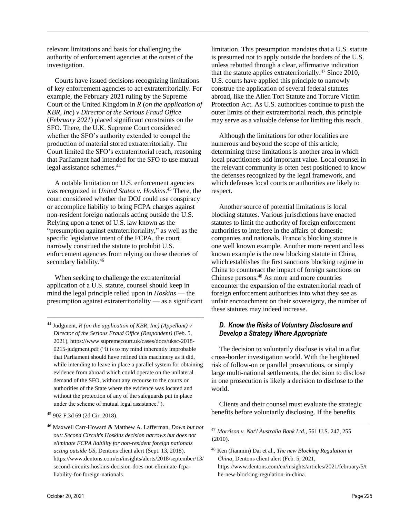relevant limitations and basis for challenging the authority of enforcement agencies at the outset of the investigation.

Courts have issued decisions recognizing limitations of key enforcement agencies to act extraterritorially. For example, the February 2021 ruling by the Supreme Court of the United Kingdom in *R* (*on the application of KBR, Inc*) *v Director of the Serious Fraud Office* (*February 2021*) placed significant constraints on the SFO. There, the U.K. Supreme Court considered whether the SFO's authority extended to compel the production of material stored extraterritorially. The Court limited the SFO's extraterritorial reach, reasoning that Parliament had intended for the SFO to use mutual legal assistance schemes.<sup>44</sup>

A notable limitation on U.S. enforcement agencies was recognized in *United States v. Hoskins*. <sup>45</sup> There, the court considered whether the DOJ could use conspiracy or accomplice liability to bring FCPA charges against non-resident foreign nationals acting outside the U.S. Relying upon a tenet of U.S. law known as the "presumption against extraterritoriality," as well as the specific legislative intent of the FCPA, the court narrowly construed the statute to prohibit U.S. enforcement agencies from relying on these theories of secondary liability.<sup>46</sup>

When seeking to challenge the extraterritorial application of a U.S. statute, counsel should keep in mind the legal principle relied upon in *Hoskins* — the presumption against extraterritoriality — as a significant

 $\frac{1}{\sqrt{2}}$  , and the contract of the contract of the contract of the contract of the contract of the contract of the contract of the contract of the contract of the contract of the contract of the contract of the contra

<sup>44</sup> Judgment, *R (on the application of KBR, Inc) (Appellant) v Director of the Serious Fraud Office (Respondent)* (Feb. 5, 2021), https://www.supremecourt.uk/cases/docs/uksc-2018- 0215-judgment.pdf ("It is to my mind inherently improbable that Parliament should have refined this machinery as it did, while intending to leave in place a parallel system for obtaining evidence from abroad which could operate on the unilateral demand of the SFO, without any recourse to the courts or authorities of the State where the evidence was located and without the protection of any of the safeguards put in place under the scheme of mutual legal assistance.").

limitation. This presumption mandates that a U.S. statute is presumed not to apply outside the borders of the U.S. unless rebutted through a clear, affirmative indication that the statute applies extraterritorially. $47$  Since 2010, U.S. courts have applied this principle to narrowly construe the application of several federal statutes abroad, like the Alien Tort Statute and Torture Victim Protection Act. As U.S. authorities continue to push the outer limits of their extraterritorial reach, this principle may serve as a valuable defense for limiting this reach.

Although the limitations for other localities are numerous and beyond the scope of this article, determining these limitations is another area in which local practitioners add important value. Local counsel in the relevant community is often best positioned to know the defenses recognized by the legal framework, and which defenses local courts or authorities are likely to respect.

Another source of potential limitations is local blocking statutes. Various jurisdictions have enacted statutes to limit the authority of foreign enforcement authorities to interfere in the affairs of domestic companies and nationals. France's blocking statute is one well known example. Another more recent and less known example is the new blocking statute in China, which establishes the first sanctions blocking regime in China to counteract the impact of foreign sanctions on Chinese persons.<sup>48</sup> As more and more countries encounter the expansion of the extraterritorial reach of foreign enforcement authorities into what they see as unfair encroachment on their sovereignty, the number of these statutes may indeed increase.

# *D. Know the Risks of Voluntary Disclosure and Develop a Strategy Where Appropriate*

The decision to voluntarily disclose is vital in a flat cross-border investigation world. With the heightened risk of follow-on or parallel prosecutions, or simply large multi-national settlements, the decision to disclose in one prosecution is likely a decision to disclose to the world.

Clients and their counsel must evaluate the strategic benefits before voluntarily disclosing. If the benefits

————————————————————

<sup>47</sup> *Morrison v. Nat'l Australia Bank Ltd.*, 561 U.S. 247, 255 (2010).

<sup>45</sup> 902 F.3d 69 (2d Cir. 2018).

<sup>46</sup> Maxwell Carr-Howard & Matthew A. Lafferman, *Down but not out: Second Circuit's Hoskins decision narrows but does not eliminate FCPA liability for non-resident foreign nationals acting outside US*, Dentons client alert (Sept. 13, 2018), https://www.dentons.com/en/insights/alerts/2018/september/13/ second-circuits-hoskins-decision-does-not-eliminate-fcpaliability-for-foreign-nationals.

<sup>48</sup> Ken (Jianmin) Dai et al., *The new Blocking Regulation in China*, Dentons client alert (Feb. 5, 2021, https://www.dentons.com/en/insights/articles/2021/february/5/t he-new-blocking-regulation-in-china.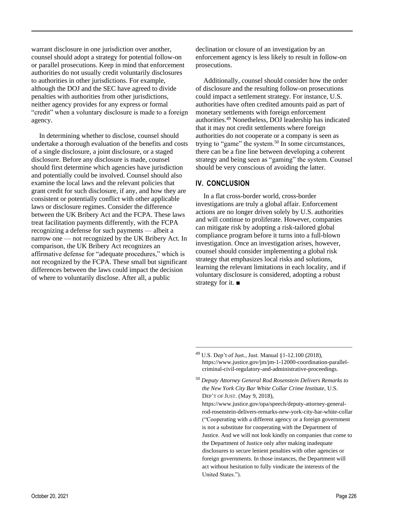warrant disclosure in one jurisdiction over another, counsel should adopt a strategy for potential follow-on or parallel prosecutions. Keep in mind that enforcement authorities do not usually credit voluntarily disclosures to authorities in other jurisdictions. For example, although the DOJ and the SEC have agreed to divide penalties with authorities from other jurisdictions, neither agency provides for any express or formal "credit" when a voluntary disclosure is made to a foreign agency.

In determining whether to disclose, counsel should undertake a thorough evaluation of the benefits and costs of a single disclosure, a joint disclosure, or a staged disclosure. Before any disclosure is made, counsel should first determine which agencies have jurisdiction and potentially could be involved. Counsel should also examine the local laws and the relevant policies that grant credit for such disclosure, if any, and how they are consistent or potentially conflict with other applicable laws or disclosure regimes. Consider the difference between the UK Bribery Act and the FCPA. These laws treat facilitation payments differently, with the FCPA recognizing a defense for such payments — albeit a narrow one — not recognized by the UK Bribery Act. In comparison, the UK Bribery Act recognizes an affirmative defense for "adequate procedures," which is not recognized by the FCPA. These small but significant differences between the laws could impact the decision of where to voluntarily disclose. After all, a public

declination or closure of an investigation by an enforcement agency is less likely to result in follow-on prosecutions.

Additionally, counsel should consider how the order of disclosure and the resulting follow-on prosecutions could impact a settlement strategy. For instance, U.S. authorities have often credited amounts paid as part of monetary settlements with foreign enforcement authorities.<sup>49</sup> Nonetheless, DOJ leadership has indicated that it may not credit settlements where foreign authorities do not cooperate or a company is seen as trying to "game" the system.<sup>50</sup> In some circumstances, there can be a fine line between developing a coherent strategy and being seen as "gaming" the system. Counsel should be very conscious of avoiding the latter.

#### **IV. CONCLUSION**

In a flat cross-border world, cross-border investigations are truly a global affair. Enforcement actions are no longer driven solely by U.S. authorities and will continue to proliferate. However, companies can mitigate risk by adopting a risk-tailored global compliance program before it turns into a full-blown investigation. Once an investigation arises, however, counsel should consider implementing a global risk strategy that emphasizes local risks and solutions, learning the relevant limitations in each locality, and if voluntary disclosure is considered, adopting a robust strategy for it. ■

<sup>49</sup> U.S. Dep't of Just., Just. Manual §1-12.100 (2018), https://www.justice.gov/jm/jm-1-12000-coordination-parallelcriminal-civil-regulatory-and-administrative-proceedings.

<sup>50</sup> *Deputy Attorney General Rod Rosenstein Delivers Remarks to the New York City Bar White Collar Crime Institute,* U.S. DEP'T OF JUST. (May 9, 2018),

https://www.justice.gov/opa/speech/deputy-attorney-generalrod-rosenstein-delivers-remarks-new-york-city-bar-white-collar ("Cooperating with a different agency or a foreign government is not a substitute for cooperating with the Department of Justice. And we will not look kindly on companies that come to the Department of Justice only after making inadequate disclosures to secure lenient penalties with other agencies or foreign governments. In those instances, the Department will act without hesitation to fully vindicate the interests of the United States.").